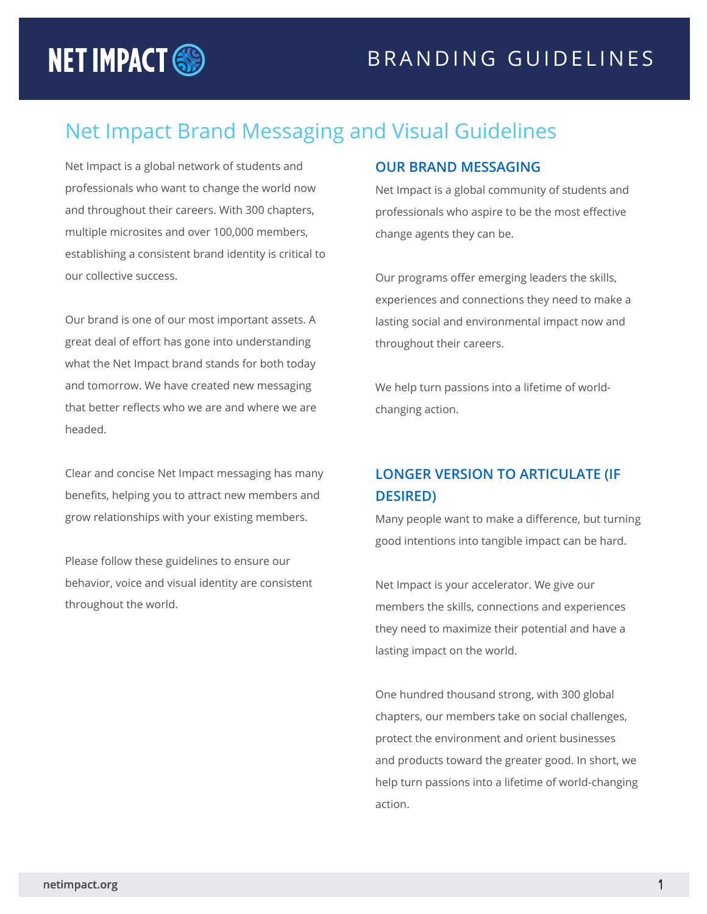# **NET IMPACT SO**

## Net Impact Brand Messaging and Visual Guidelines

Net Impact is a global network of students and professionals who want to change the world now and throughout their careers. With 300 chapters, multiple microsites and over 100,000 members, establishing a consistent brand identity is critical to our collective success.

Our brand is one of our most important assets. A great deal of effort has gone into understanding what the Net Impact brand stands for both today and tomorrow. We have created new messaging that better reflects who we are and where we are headed.

Clear and concise Net Impact messaging has many benefits, helping you to attract new members and grow relationships with your existing members.

Please follow these guidelines to ensure our behavior, voice and visual identity are consistent throughout the world.

#### **OUR BRAND MESSAGING**

Net Impact is a global community of students and professionals who aspire to be the most effective change agents they can be.

Our programs offer emerging leaders the skills, experiences and connections they need to make a lasting social and environmental impact now and throughout their careers.

We help turn passions into a lifetime of worldchanging action.

### **LONGER VERSION TO ARTICULATE (IF DESIRED)**

Many people want to make a difference, but turning good intentions into tangible impact can be hard.

Net Impact is your accelerator. We give our members the skills, connections and experiences they need to maximize their potential and have a lasting impact on the world.

One hundred thousand strong, with 300 global chapters, our members take on social challenges, protect the environment and orient businesses and products toward the greater good. In short, we help turn passions into a lifetime of world-changing action.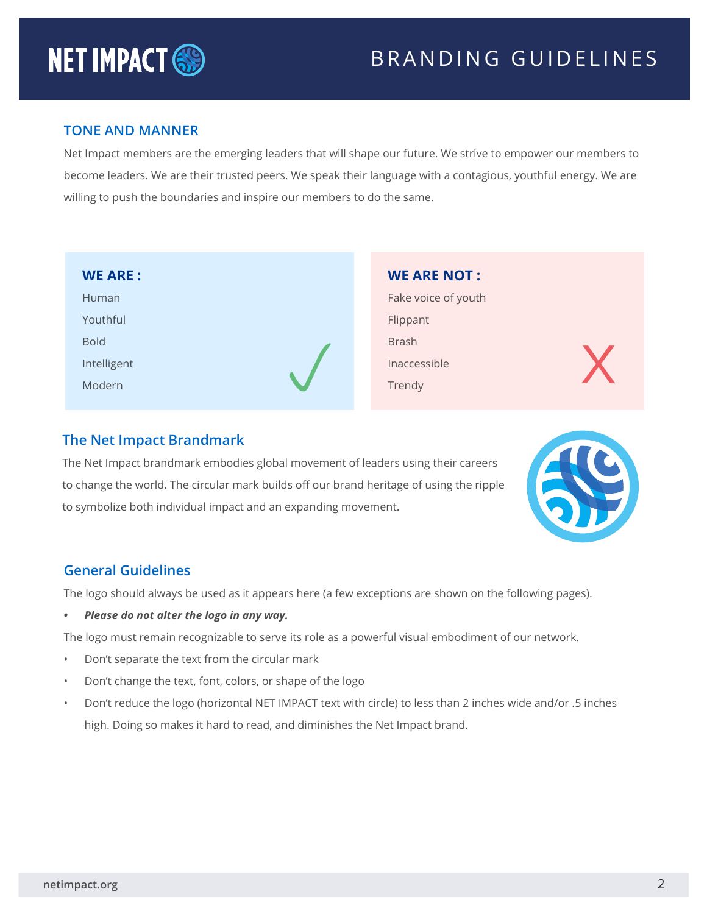# **NET IMPACT SO**

## BRANDING GUIDELINES

#### **TONE AND MANNER**

Net Impact members are the emerging leaders that will shape our future. We strive to empower our members to become leaders. We are their trusted peers. We speak their language with a contagious, youthful energy. We are willing to push the boundaries and inspire our members to do the same.

| <b>WE ARE:</b> | <b>WE ARE NOT:</b>  |  |
|----------------|---------------------|--|
| Human          | Fake voice of youth |  |
| Youthful       | Flippant            |  |
| <b>Bold</b>    | <b>Brash</b>        |  |
| Intelligent    | Inaccessible        |  |
| Modern         | Trendy              |  |
|                |                     |  |

#### **The Net Impact Brandmark**

The Net Impact brandmark embodies global movement of leaders using their careers to change the world. The circular mark builds off our brand heritage of using the ripple to symbolize both individual impact and an expanding movement.



#### **General Guidelines**

The logo should always be used as it appears here (a few exceptions are shown on the following pages).

*• Please do not alter the logo in any way.*

The logo must remain recognizable to serve its role as a powerful visual embodiment of our network.

- Don't separate the text from the circular mark
- Don't change the text, font, colors, or shape of the logo
- Don't reduce the logo (horizontal NET IMPACT text with circle) to less than 2 inches wide and/or .5 inches high. Doing so makes it hard to read, and diminishes the Net Impact brand.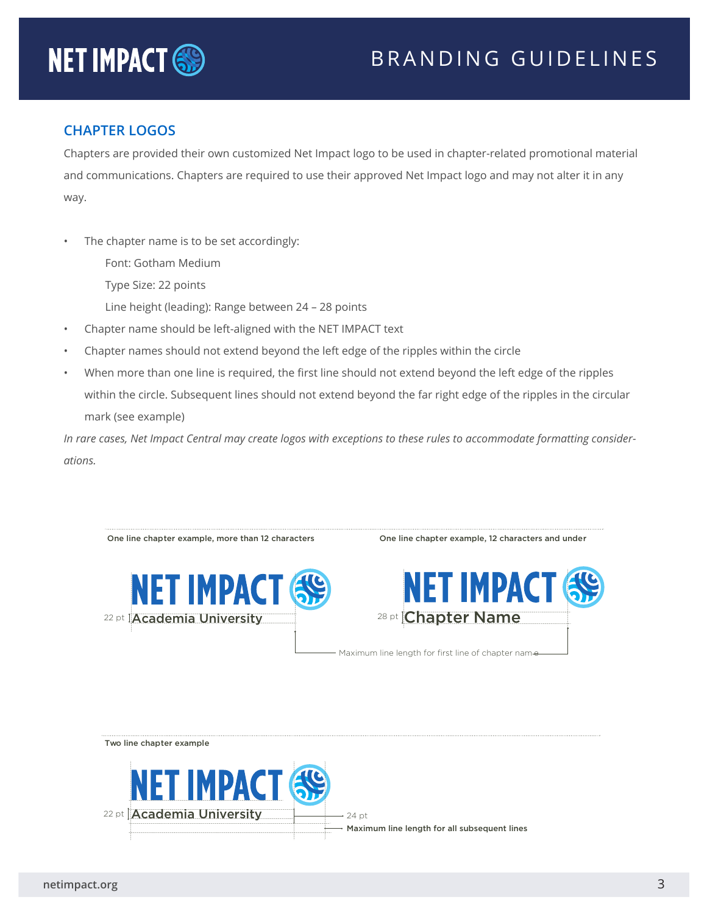## BRANDING GUIDELINES



#### **CHAPTER LOGOS**

Chapters are provided their own customized Net Impact logo to be used in chapter-related promotional material and communications. Chapters are required to use their approved Net Impact logo and may not alter it in any way.

- The chapter name is to be set accordingly:
	- Font: Gotham Medium
	- Type Size: 22 points
	- Line height (leading): Range between 24 28 points
- Chapter name should be left-aligned with the NET IMPACT text
- Chapter names should not extend beyond the left edge of the ripples within the circle
- When more than one line is required, the first line should not extend beyond the left edge of the ripples within the circle. Subsequent lines should not extend beyond the far right edge of the ripples in the circular mark (see example)

*In rare cases, Net Impact Central may create logos with exceptions to these rules to accommodate formatting considerations.*



24 pt



Maximum line length for all subsequent lines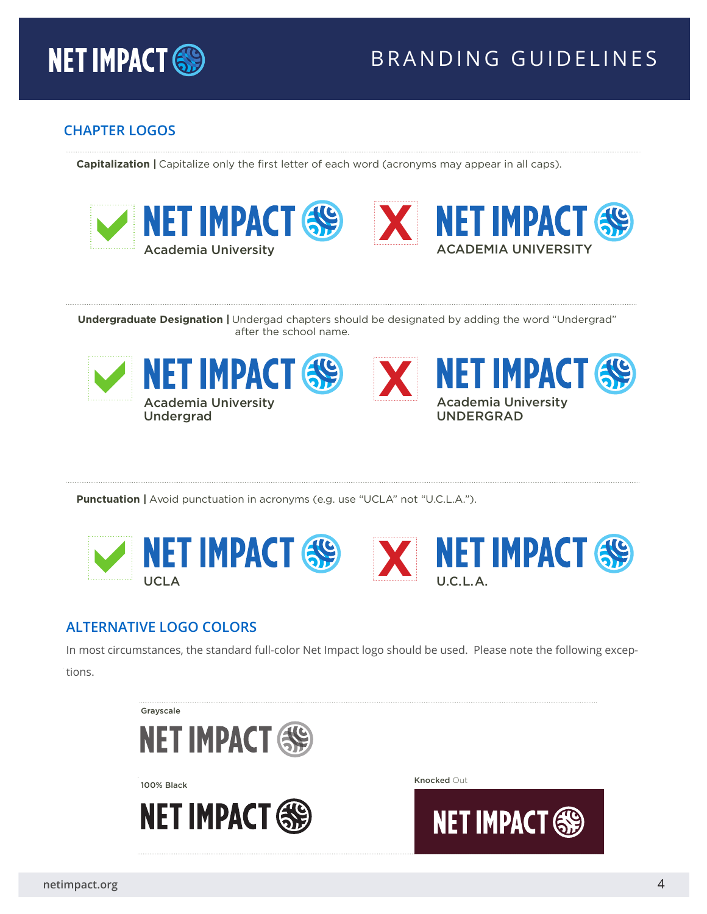

## BRANDING GUIDELINES

#### **CHAPTER LOGOS**

**Capitalization** | Capitalize only the first letter of each word (acronyms may appear in all caps).





**Undergraduate Designation |** Undergad chapters should be designated by adding the word "Undergrad" after the school name.





**Punctuation** | Avoid punctuation in acronyms (e.g. use "UCLA" not "U.C.L.A.").



#### **ALTERNATIVE LOGO COLORS**

In most circumstances, the standard full-color Net Impact logo should be used. Please note the following exceptions.

Grayscale





100% Black **Knocked Out** 

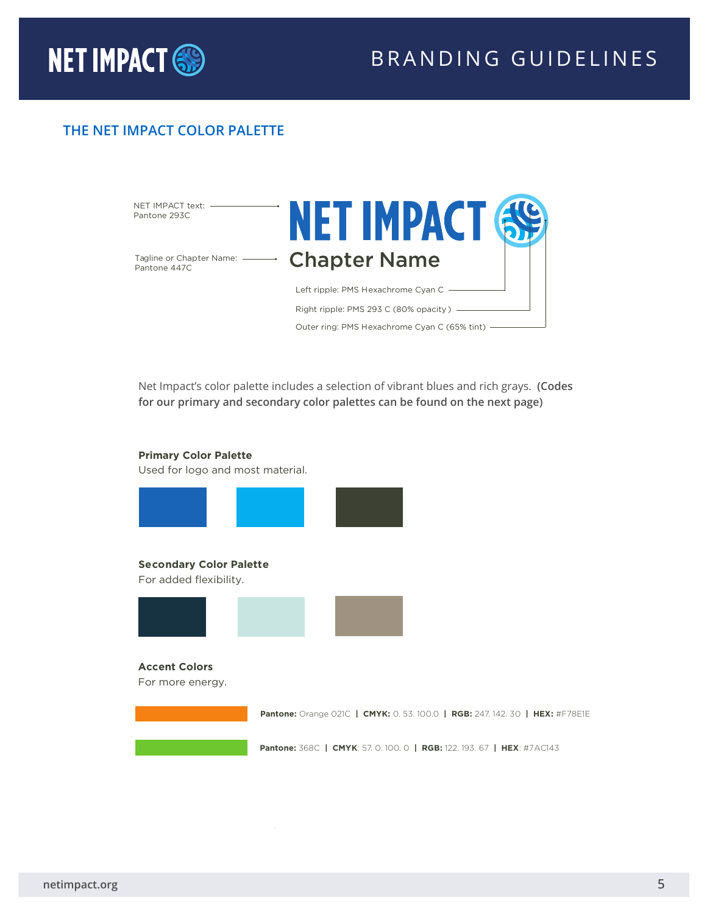

## BRANDING GUIDELINES

#### **THE NET IMPACT COLOR PALETTE**



Net Impact's color palette includes a selection of vibrant blues and rich grays. **(Codes for our primary and secondary color palettes can be found on the next page)**

#### **Primary Color Palette**

Used for logo and most material.